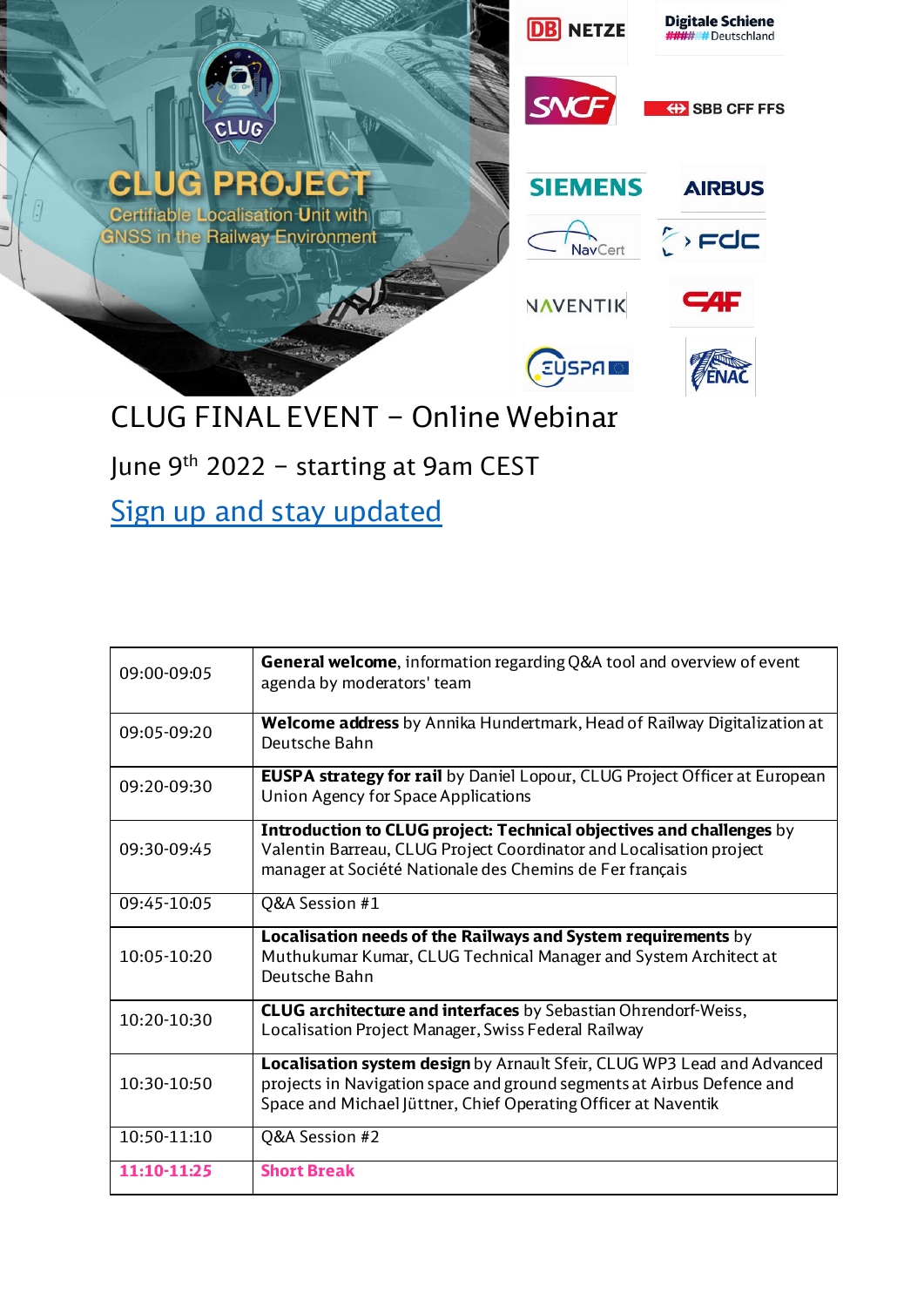

June 9<sup>th</sup> 2022 – starting at 9am CEST

[Sign up and stay updated](https://www.linkedin.com/events/clugfinalevent-onlinewebinar6930511950569185280/)

| 09:00-09:05 | <b>General welcome</b> , information regarding Q&A tool and overview of event<br>agenda by moderators' team                                                                                                         |
|-------------|---------------------------------------------------------------------------------------------------------------------------------------------------------------------------------------------------------------------|
| 09:05-09:20 | Welcome address by Annika Hundertmark, Head of Railway Digitalization at<br>Deutsche Bahn                                                                                                                           |
| 09:20-09:30 | <b>EUSPA strategy for rail</b> by Daniel Lopour, CLUG Project Officer at European<br>Union Agency for Space Applications                                                                                            |
| 09:30-09:45 | Introduction to CLUG project: Technical objectives and challenges by<br>Valentin Barreau, CLUG Project Coordinator and Localisation project<br>manager at Société Nationale des Chemins de Fer français             |
| 09:45-10:05 | Q&A Session #1                                                                                                                                                                                                      |
| 10:05-10:20 | Localisation needs of the Railways and System requirements by<br>Muthukumar Kumar, CLUG Technical Manager and System Architect at<br>Deutsche Bahn                                                                  |
| 10:20-10:30 | <b>CLUG architecture and interfaces</b> by Sebastian Ohrendorf-Weiss,<br>Localisation Project Manager, Swiss Federal Railway                                                                                        |
| 10:30-10:50 | Localisation system design by Arnault Sfeir, CLUG WP3 Lead and Advanced<br>projects in Navigation space and ground segments at Airbus Defence and<br>Space and Michael Jüttner, Chief Operating Officer at Naventik |
| 10:50-11:10 | Q&A Session #2                                                                                                                                                                                                      |
| 11:10-11:25 | <b>Short Break</b>                                                                                                                                                                                                  |